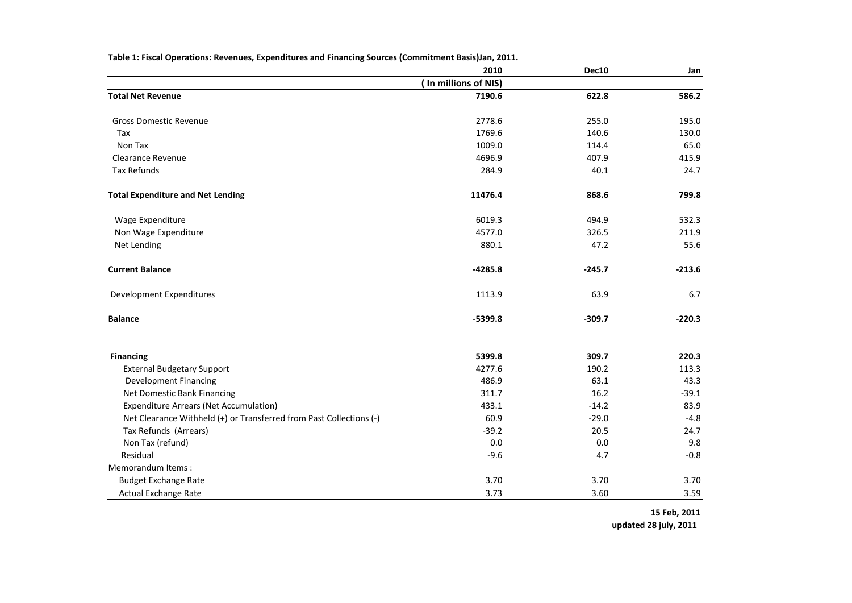|                                                                     | 2010                 | Dec10    | Jan      |
|---------------------------------------------------------------------|----------------------|----------|----------|
|                                                                     | (In millions of NIS) |          |          |
| <b>Total Net Revenue</b>                                            | 7190.6               | 622.8    | 586.2    |
| <b>Gross Domestic Revenue</b>                                       | 2778.6               | 255.0    | 195.0    |
| Tax                                                                 | 1769.6               | 140.6    | 130.0    |
| Non Tax                                                             | 1009.0               | 114.4    | 65.0     |
| <b>Clearance Revenue</b>                                            | 4696.9               | 407.9    | 415.9    |
| Tax Refunds                                                         | 284.9                | 40.1     | 24.7     |
| <b>Total Expenditure and Net Lending</b>                            | 11476.4              | 868.6    | 799.8    |
| Wage Expenditure                                                    | 6019.3               | 494.9    | 532.3    |
| Non Wage Expenditure                                                | 4577.0               | 326.5    | 211.9    |
| Net Lending                                                         | 880.1                | 47.2     | 55.6     |
| <b>Current Balance</b>                                              | $-4285.8$            | $-245.7$ | $-213.6$ |
| Development Expenditures                                            | 1113.9               | 63.9     | 6.7      |
| <b>Balance</b>                                                      | $-5399.8$            | $-309.7$ | $-220.3$ |
| <b>Financing</b>                                                    | 5399.8               | 309.7    | 220.3    |
| <b>External Budgetary Support</b>                                   | 4277.6               | 190.2    | 113.3    |
| <b>Development Financing</b>                                        | 486.9                | 63.1     | 43.3     |
| Net Domestic Bank Financing                                         | 311.7                | 16.2     | $-39.1$  |
| <b>Expenditure Arrears (Net Accumulation)</b>                       | 433.1                | $-14.2$  | 83.9     |
| Net Clearance Withheld (+) or Transferred from Past Collections (-) | 60.9                 | $-29.0$  | $-4.8$   |
| Tax Refunds (Arrears)                                               | $-39.2$              | 20.5     | 24.7     |
| Non Tax (refund)                                                    | 0.0                  | 0.0      | 9.8      |
| Residual                                                            | $-9.6$               | 4.7      | $-0.8$   |
| Memorandum Items:                                                   |                      |          |          |
| <b>Budget Exchange Rate</b>                                         | 3.70                 | 3.70     | 3.70     |
| <b>Actual Exchange Rate</b>                                         | 3.73                 | 3.60     | 3.59     |

**Table 1: Fiscal Operations: Revenues, Expenditures and Financing Sources (Commitment Basis)Jan, 2011.**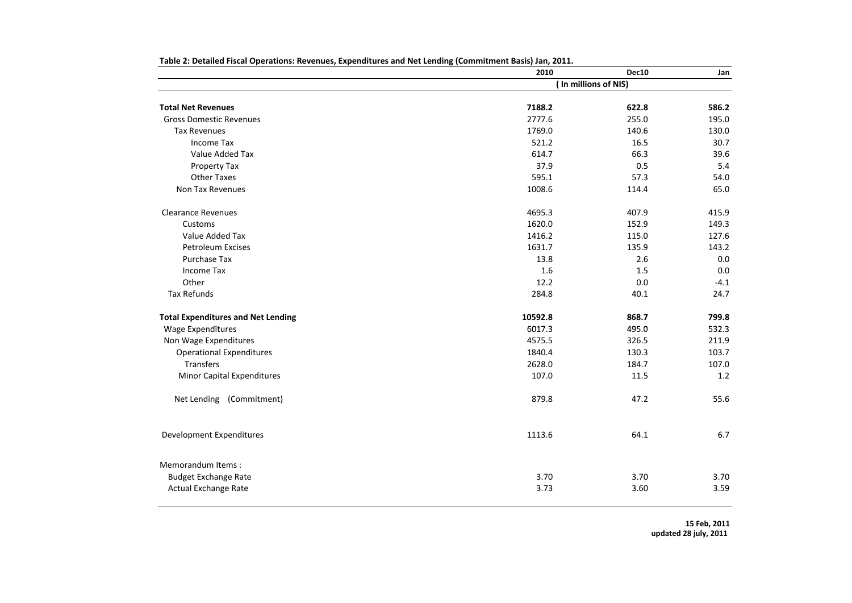|                                           | 2010    | Dec10                | Jan    |
|-------------------------------------------|---------|----------------------|--------|
|                                           |         | (In millions of NIS) |        |
| <b>Total Net Revenues</b>                 | 7188.2  | 622.8                | 586.2  |
| <b>Gross Domestic Revenues</b>            | 2777.6  | 255.0                | 195.0  |
| <b>Tax Revenues</b>                       | 1769.0  | 140.6                | 130.0  |
| <b>Income Tax</b>                         | 521.2   | 16.5                 | 30.7   |
| Value Added Tax                           | 614.7   | 66.3                 | 39.6   |
|                                           | 37.9    | 0.5                  | 5.4    |
| Property Tax                              |         |                      |        |
| <b>Other Taxes</b>                        | 595.1   | 57.3                 | 54.0   |
| Non Tax Revenues                          | 1008.6  | 114.4                | 65.0   |
| <b>Clearance Revenues</b>                 | 4695.3  | 407.9                | 415.9  |
| Customs                                   | 1620.0  | 152.9                | 149.3  |
| Value Added Tax                           | 1416.2  | 115.0                | 127.6  |
| <b>Petroleum Excises</b>                  | 1631.7  | 135.9                | 143.2  |
| Purchase Tax                              | 13.8    | 2.6                  | 0.0    |
| Income Tax                                | 1.6     | 1.5                  | 0.0    |
| Other                                     | 12.2    | 0.0                  | $-4.1$ |
| Tax Refunds                               | 284.8   | 40.1                 | 24.7   |
| <b>Total Expenditures and Net Lending</b> | 10592.8 | 868.7                | 799.8  |
| <b>Wage Expenditures</b>                  | 6017.3  | 495.0                | 532.3  |
| Non Wage Expenditures                     | 4575.5  | 326.5                | 211.9  |
| <b>Operational Expenditures</b>           | 1840.4  | 130.3                | 103.7  |
| <b>Transfers</b>                          | 2628.0  | 184.7                | 107.0  |
| Minor Capital Expenditures                | 107.0   | 11.5                 | 1.2    |
| Net Lending (Commitment)                  | 879.8   | 47.2                 | 55.6   |
| Development Expenditures                  | 1113.6  | 64.1                 | 6.7    |
| Memorandum Items:                         |         |                      |        |
| <b>Budget Exchange Rate</b>               | 3.70    | 3.70                 | 3.70   |
| Actual Exchange Rate                      | 3.73    | 3.60                 | 3.59   |
|                                           |         |                      |        |

**Table 2: Detailed Fiscal Operations: Revenues, Expenditures and Net Lending (Commitment Basis) Jan, 2011.**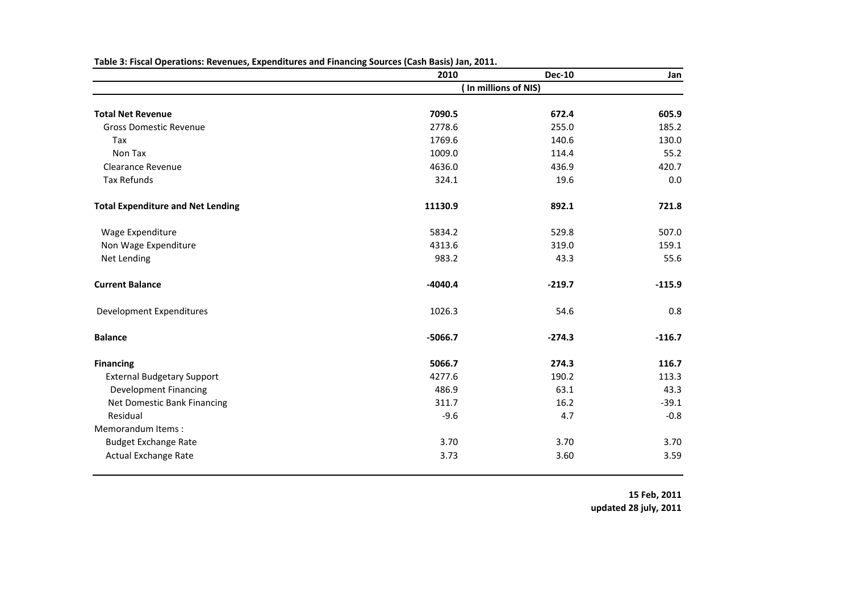|                                          | 2010      | <b>Dec-10</b>        | Jan      |
|------------------------------------------|-----------|----------------------|----------|
|                                          |           | (In millions of NIS) |          |
| <b>Total Net Revenue</b>                 | 7090.5    | 672.4                | 605.9    |
| <b>Gross Domestic Revenue</b>            | 2778.6    | 255.0                | 185.2    |
| Tax                                      | 1769.6    | 140.6                | 130.0    |
| Non Tax                                  |           | 114.4                | 55.2     |
|                                          | 1009.0    |                      |          |
| <b>Clearance Revenue</b>                 | 4636.0    | 436.9                | 420.7    |
| Tax Refunds                              | 324.1     | 19.6                 | 0.0      |
| <b>Total Expenditure and Net Lending</b> | 11130.9   | 892.1                | 721.8    |
| Wage Expenditure                         | 5834.2    | 529.8                | 507.0    |
| Non Wage Expenditure                     | 4313.6    | 319.0                | 159.1    |
| Net Lending                              | 983.2     | 43.3                 | 55.6     |
| <b>Current Balance</b>                   | $-4040.4$ | $-219.7$             | $-115.9$ |
| Development Expenditures                 | 1026.3    | 54.6                 | 0.8      |
| <b>Balance</b>                           | $-5066.7$ | $-274.3$             | $-116.7$ |
| <b>Financing</b>                         | 5066.7    | 274.3                | 116.7    |
| <b>External Budgetary Support</b>        | 4277.6    | 190.2                | 113.3    |
| <b>Development Financing</b>             | 486.9     | 63.1                 | 43.3     |
| Net Domestic Bank Financing              | 311.7     | 16.2                 | $-39.1$  |
| Residual                                 | $-9.6$    | 4.7                  | $-0.8$   |
| Memorandum Items:                        |           |                      |          |
| <b>Budget Exchange Rate</b>              | 3.70      | 3.70                 | 3.70     |
| <b>Actual Exchange Rate</b>              | 3.73      | 3.60                 | 3.59     |
|                                          |           |                      |          |

**Table 3: Fiscal Operations: Revenues, Expenditures and Financing Sources (Cash Basis) Jan, 2011.**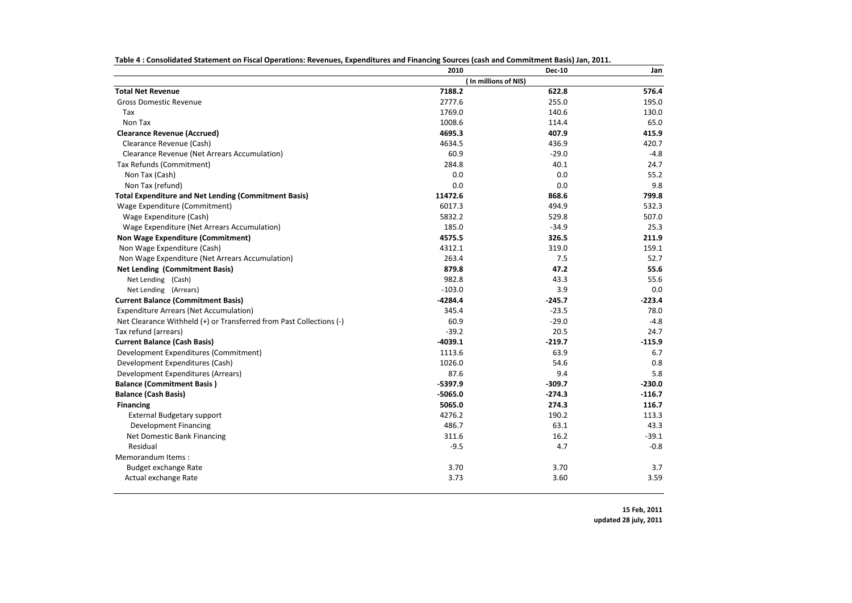| Table 4: Consolidated Statement on Fiscal Operations: Revenues, Expenditures and Financing Sources (cash and Commitment Basis) Jan, 2011. |  |  |  |
|-------------------------------------------------------------------------------------------------------------------------------------------|--|--|--|
|                                                                                                                                           |  |  |  |

| (In millions of NIS)<br><b>Total Net Revenue</b><br>7188.2<br>576.4<br>622.8<br>2777.6<br>255.0<br><b>Gross Domestic Revenue</b><br>195.0<br>1769.0<br>140.6<br>Tax<br>130.0<br>1008.6<br>Non Tax<br>114.4<br>65.0<br>407.9<br><b>Clearance Revenue (Accrued)</b><br>4695.3<br>415.9<br>436.9<br>Clearance Revenue (Cash)<br>4634.5<br>420.7<br>60.9<br>$-29.0$<br>$-4.8$<br>Clearance Revenue (Net Arrears Accumulation)<br>Tax Refunds (Commitment)<br>284.8<br>40.1<br>24.7<br>Non Tax (Cash)<br>0.0<br>0.0<br>55.2<br>Non Tax (refund)<br>0.0<br>0.0<br>9.8<br>11472.6<br>868.6<br>799.8<br><b>Total Expenditure and Net Lending (Commitment Basis)</b><br>6017.3<br>494.9<br>Wage Expenditure (Commitment)<br>532.3<br>5832.2<br>529.8<br>Wage Expenditure (Cash)<br>507.0<br>185.0<br>Wage Expenditure (Net Arrears Accumulation)<br>$-34.9$<br>25.3<br><b>Non Wage Expenditure (Commitment)</b><br>4575.5<br>326.5<br>211.9<br>4312.1<br>319.0<br>Non Wage Expenditure (Cash)<br>159.1<br>263.4<br>Non Wage Expenditure (Net Arrears Accumulation)<br>7.5<br>52.7<br>879.8<br>47.2<br><b>Net Lending (Commitment Basis)</b><br>55.6<br>982.8<br>43.3<br>55.6<br>Net Lending (Cash)<br>$-103.0$<br>3.9<br>0.0<br>Net Lending (Arrears)<br><b>Current Balance (Commitment Basis)</b><br>$-4284.4$<br>$-245.7$<br>$-223.4$<br><b>Expenditure Arrears (Net Accumulation)</b><br>345.4<br>$-23.5$<br>78.0<br>$-29.0$<br>Net Clearance Withheld (+) or Transferred from Past Collections (-)<br>60.9<br>$-4.8$<br>Tax refund (arrears)<br>$-39.2$<br>20.5<br>24.7<br><b>Current Balance (Cash Basis)</b><br>$-4039.1$<br>$-219.7$<br>$-115.9$<br>1113.6<br>63.9<br>6.7<br>Development Expenditures (Commitment)<br>1026.0<br>54.6<br>0.8<br>Development Expenditures (Cash)<br>87.6<br>9.4<br>5.8<br>Development Expenditures (Arrears)<br><b>Balance (Commitment Basis)</b><br>$-5397.9$<br>$-309.7$<br>$-230.0$<br><b>Balance (Cash Basis)</b><br>$-5065.0$<br>$-274.3$<br>$-116.7$<br>5065.0<br>274.3<br><b>Financing</b><br>116.7<br>4276.2<br>190.2<br><b>External Budgetary support</b><br>113.3<br>486.7<br>43.3<br><b>Development Financing</b><br>63.1<br>311.6<br>$-39.1$<br>Net Domestic Bank Financing<br>16.2<br>$-0.8$<br>Residual<br>$-9.5$<br>4.7<br>Memorandum Items:<br>3.70<br>3.70<br>3.7<br>Budget exchange Rate<br>3.73<br>Actual exchange Rate<br>3.60<br>3.59 | 2010 | <b>Dec-10</b> | Jan |
|----------------------------------------------------------------------------------------------------------------------------------------------------------------------------------------------------------------------------------------------------------------------------------------------------------------------------------------------------------------------------------------------------------------------------------------------------------------------------------------------------------------------------------------------------------------------------------------------------------------------------------------------------------------------------------------------------------------------------------------------------------------------------------------------------------------------------------------------------------------------------------------------------------------------------------------------------------------------------------------------------------------------------------------------------------------------------------------------------------------------------------------------------------------------------------------------------------------------------------------------------------------------------------------------------------------------------------------------------------------------------------------------------------------------------------------------------------------------------------------------------------------------------------------------------------------------------------------------------------------------------------------------------------------------------------------------------------------------------------------------------------------------------------------------------------------------------------------------------------------------------------------------------------------------------------------------------------------------------------------------------------------------------------------------------------------------------------------------------------------------------------------------------------------------------------------------------------------------------------------------------------------------------------------------------------------------------------------------------------------------------------------|------|---------------|-----|
|                                                                                                                                                                                                                                                                                                                                                                                                                                                                                                                                                                                                                                                                                                                                                                                                                                                                                                                                                                                                                                                                                                                                                                                                                                                                                                                                                                                                                                                                                                                                                                                                                                                                                                                                                                                                                                                                                                                                                                                                                                                                                                                                                                                                                                                                                                                                                                                        |      |               |     |
|                                                                                                                                                                                                                                                                                                                                                                                                                                                                                                                                                                                                                                                                                                                                                                                                                                                                                                                                                                                                                                                                                                                                                                                                                                                                                                                                                                                                                                                                                                                                                                                                                                                                                                                                                                                                                                                                                                                                                                                                                                                                                                                                                                                                                                                                                                                                                                                        |      |               |     |
|                                                                                                                                                                                                                                                                                                                                                                                                                                                                                                                                                                                                                                                                                                                                                                                                                                                                                                                                                                                                                                                                                                                                                                                                                                                                                                                                                                                                                                                                                                                                                                                                                                                                                                                                                                                                                                                                                                                                                                                                                                                                                                                                                                                                                                                                                                                                                                                        |      |               |     |
|                                                                                                                                                                                                                                                                                                                                                                                                                                                                                                                                                                                                                                                                                                                                                                                                                                                                                                                                                                                                                                                                                                                                                                                                                                                                                                                                                                                                                                                                                                                                                                                                                                                                                                                                                                                                                                                                                                                                                                                                                                                                                                                                                                                                                                                                                                                                                                                        |      |               |     |
|                                                                                                                                                                                                                                                                                                                                                                                                                                                                                                                                                                                                                                                                                                                                                                                                                                                                                                                                                                                                                                                                                                                                                                                                                                                                                                                                                                                                                                                                                                                                                                                                                                                                                                                                                                                                                                                                                                                                                                                                                                                                                                                                                                                                                                                                                                                                                                                        |      |               |     |
|                                                                                                                                                                                                                                                                                                                                                                                                                                                                                                                                                                                                                                                                                                                                                                                                                                                                                                                                                                                                                                                                                                                                                                                                                                                                                                                                                                                                                                                                                                                                                                                                                                                                                                                                                                                                                                                                                                                                                                                                                                                                                                                                                                                                                                                                                                                                                                                        |      |               |     |
|                                                                                                                                                                                                                                                                                                                                                                                                                                                                                                                                                                                                                                                                                                                                                                                                                                                                                                                                                                                                                                                                                                                                                                                                                                                                                                                                                                                                                                                                                                                                                                                                                                                                                                                                                                                                                                                                                                                                                                                                                                                                                                                                                                                                                                                                                                                                                                                        |      |               |     |
|                                                                                                                                                                                                                                                                                                                                                                                                                                                                                                                                                                                                                                                                                                                                                                                                                                                                                                                                                                                                                                                                                                                                                                                                                                                                                                                                                                                                                                                                                                                                                                                                                                                                                                                                                                                                                                                                                                                                                                                                                                                                                                                                                                                                                                                                                                                                                                                        |      |               |     |
|                                                                                                                                                                                                                                                                                                                                                                                                                                                                                                                                                                                                                                                                                                                                                                                                                                                                                                                                                                                                                                                                                                                                                                                                                                                                                                                                                                                                                                                                                                                                                                                                                                                                                                                                                                                                                                                                                                                                                                                                                                                                                                                                                                                                                                                                                                                                                                                        |      |               |     |
|                                                                                                                                                                                                                                                                                                                                                                                                                                                                                                                                                                                                                                                                                                                                                                                                                                                                                                                                                                                                                                                                                                                                                                                                                                                                                                                                                                                                                                                                                                                                                                                                                                                                                                                                                                                                                                                                                                                                                                                                                                                                                                                                                                                                                                                                                                                                                                                        |      |               |     |
|                                                                                                                                                                                                                                                                                                                                                                                                                                                                                                                                                                                                                                                                                                                                                                                                                                                                                                                                                                                                                                                                                                                                                                                                                                                                                                                                                                                                                                                                                                                                                                                                                                                                                                                                                                                                                                                                                                                                                                                                                                                                                                                                                                                                                                                                                                                                                                                        |      |               |     |
|                                                                                                                                                                                                                                                                                                                                                                                                                                                                                                                                                                                                                                                                                                                                                                                                                                                                                                                                                                                                                                                                                                                                                                                                                                                                                                                                                                                                                                                                                                                                                                                                                                                                                                                                                                                                                                                                                                                                                                                                                                                                                                                                                                                                                                                                                                                                                                                        |      |               |     |
|                                                                                                                                                                                                                                                                                                                                                                                                                                                                                                                                                                                                                                                                                                                                                                                                                                                                                                                                                                                                                                                                                                                                                                                                                                                                                                                                                                                                                                                                                                                                                                                                                                                                                                                                                                                                                                                                                                                                                                                                                                                                                                                                                                                                                                                                                                                                                                                        |      |               |     |
|                                                                                                                                                                                                                                                                                                                                                                                                                                                                                                                                                                                                                                                                                                                                                                                                                                                                                                                                                                                                                                                                                                                                                                                                                                                                                                                                                                                                                                                                                                                                                                                                                                                                                                                                                                                                                                                                                                                                                                                                                                                                                                                                                                                                                                                                                                                                                                                        |      |               |     |
|                                                                                                                                                                                                                                                                                                                                                                                                                                                                                                                                                                                                                                                                                                                                                                                                                                                                                                                                                                                                                                                                                                                                                                                                                                                                                                                                                                                                                                                                                                                                                                                                                                                                                                                                                                                                                                                                                                                                                                                                                                                                                                                                                                                                                                                                                                                                                                                        |      |               |     |
|                                                                                                                                                                                                                                                                                                                                                                                                                                                                                                                                                                                                                                                                                                                                                                                                                                                                                                                                                                                                                                                                                                                                                                                                                                                                                                                                                                                                                                                                                                                                                                                                                                                                                                                                                                                                                                                                                                                                                                                                                                                                                                                                                                                                                                                                                                                                                                                        |      |               |     |
|                                                                                                                                                                                                                                                                                                                                                                                                                                                                                                                                                                                                                                                                                                                                                                                                                                                                                                                                                                                                                                                                                                                                                                                                                                                                                                                                                                                                                                                                                                                                                                                                                                                                                                                                                                                                                                                                                                                                                                                                                                                                                                                                                                                                                                                                                                                                                                                        |      |               |     |
|                                                                                                                                                                                                                                                                                                                                                                                                                                                                                                                                                                                                                                                                                                                                                                                                                                                                                                                                                                                                                                                                                                                                                                                                                                                                                                                                                                                                                                                                                                                                                                                                                                                                                                                                                                                                                                                                                                                                                                                                                                                                                                                                                                                                                                                                                                                                                                                        |      |               |     |
|                                                                                                                                                                                                                                                                                                                                                                                                                                                                                                                                                                                                                                                                                                                                                                                                                                                                                                                                                                                                                                                                                                                                                                                                                                                                                                                                                                                                                                                                                                                                                                                                                                                                                                                                                                                                                                                                                                                                                                                                                                                                                                                                                                                                                                                                                                                                                                                        |      |               |     |
|                                                                                                                                                                                                                                                                                                                                                                                                                                                                                                                                                                                                                                                                                                                                                                                                                                                                                                                                                                                                                                                                                                                                                                                                                                                                                                                                                                                                                                                                                                                                                                                                                                                                                                                                                                                                                                                                                                                                                                                                                                                                                                                                                                                                                                                                                                                                                                                        |      |               |     |
|                                                                                                                                                                                                                                                                                                                                                                                                                                                                                                                                                                                                                                                                                                                                                                                                                                                                                                                                                                                                                                                                                                                                                                                                                                                                                                                                                                                                                                                                                                                                                                                                                                                                                                                                                                                                                                                                                                                                                                                                                                                                                                                                                                                                                                                                                                                                                                                        |      |               |     |
|                                                                                                                                                                                                                                                                                                                                                                                                                                                                                                                                                                                                                                                                                                                                                                                                                                                                                                                                                                                                                                                                                                                                                                                                                                                                                                                                                                                                                                                                                                                                                                                                                                                                                                                                                                                                                                                                                                                                                                                                                                                                                                                                                                                                                                                                                                                                                                                        |      |               |     |
|                                                                                                                                                                                                                                                                                                                                                                                                                                                                                                                                                                                                                                                                                                                                                                                                                                                                                                                                                                                                                                                                                                                                                                                                                                                                                                                                                                                                                                                                                                                                                                                                                                                                                                                                                                                                                                                                                                                                                                                                                                                                                                                                                                                                                                                                                                                                                                                        |      |               |     |
|                                                                                                                                                                                                                                                                                                                                                                                                                                                                                                                                                                                                                                                                                                                                                                                                                                                                                                                                                                                                                                                                                                                                                                                                                                                                                                                                                                                                                                                                                                                                                                                                                                                                                                                                                                                                                                                                                                                                                                                                                                                                                                                                                                                                                                                                                                                                                                                        |      |               |     |
|                                                                                                                                                                                                                                                                                                                                                                                                                                                                                                                                                                                                                                                                                                                                                                                                                                                                                                                                                                                                                                                                                                                                                                                                                                                                                                                                                                                                                                                                                                                                                                                                                                                                                                                                                                                                                                                                                                                                                                                                                                                                                                                                                                                                                                                                                                                                                                                        |      |               |     |
|                                                                                                                                                                                                                                                                                                                                                                                                                                                                                                                                                                                                                                                                                                                                                                                                                                                                                                                                                                                                                                                                                                                                                                                                                                                                                                                                                                                                                                                                                                                                                                                                                                                                                                                                                                                                                                                                                                                                                                                                                                                                                                                                                                                                                                                                                                                                                                                        |      |               |     |
|                                                                                                                                                                                                                                                                                                                                                                                                                                                                                                                                                                                                                                                                                                                                                                                                                                                                                                                                                                                                                                                                                                                                                                                                                                                                                                                                                                                                                                                                                                                                                                                                                                                                                                                                                                                                                                                                                                                                                                                                                                                                                                                                                                                                                                                                                                                                                                                        |      |               |     |
|                                                                                                                                                                                                                                                                                                                                                                                                                                                                                                                                                                                                                                                                                                                                                                                                                                                                                                                                                                                                                                                                                                                                                                                                                                                                                                                                                                                                                                                                                                                                                                                                                                                                                                                                                                                                                                                                                                                                                                                                                                                                                                                                                                                                                                                                                                                                                                                        |      |               |     |
|                                                                                                                                                                                                                                                                                                                                                                                                                                                                                                                                                                                                                                                                                                                                                                                                                                                                                                                                                                                                                                                                                                                                                                                                                                                                                                                                                                                                                                                                                                                                                                                                                                                                                                                                                                                                                                                                                                                                                                                                                                                                                                                                                                                                                                                                                                                                                                                        |      |               |     |
|                                                                                                                                                                                                                                                                                                                                                                                                                                                                                                                                                                                                                                                                                                                                                                                                                                                                                                                                                                                                                                                                                                                                                                                                                                                                                                                                                                                                                                                                                                                                                                                                                                                                                                                                                                                                                                                                                                                                                                                                                                                                                                                                                                                                                                                                                                                                                                                        |      |               |     |
|                                                                                                                                                                                                                                                                                                                                                                                                                                                                                                                                                                                                                                                                                                                                                                                                                                                                                                                                                                                                                                                                                                                                                                                                                                                                                                                                                                                                                                                                                                                                                                                                                                                                                                                                                                                                                                                                                                                                                                                                                                                                                                                                                                                                                                                                                                                                                                                        |      |               |     |
|                                                                                                                                                                                                                                                                                                                                                                                                                                                                                                                                                                                                                                                                                                                                                                                                                                                                                                                                                                                                                                                                                                                                                                                                                                                                                                                                                                                                                                                                                                                                                                                                                                                                                                                                                                                                                                                                                                                                                                                                                                                                                                                                                                                                                                                                                                                                                                                        |      |               |     |
|                                                                                                                                                                                                                                                                                                                                                                                                                                                                                                                                                                                                                                                                                                                                                                                                                                                                                                                                                                                                                                                                                                                                                                                                                                                                                                                                                                                                                                                                                                                                                                                                                                                                                                                                                                                                                                                                                                                                                                                                                                                                                                                                                                                                                                                                                                                                                                                        |      |               |     |
|                                                                                                                                                                                                                                                                                                                                                                                                                                                                                                                                                                                                                                                                                                                                                                                                                                                                                                                                                                                                                                                                                                                                                                                                                                                                                                                                                                                                                                                                                                                                                                                                                                                                                                                                                                                                                                                                                                                                                                                                                                                                                                                                                                                                                                                                                                                                                                                        |      |               |     |
|                                                                                                                                                                                                                                                                                                                                                                                                                                                                                                                                                                                                                                                                                                                                                                                                                                                                                                                                                                                                                                                                                                                                                                                                                                                                                                                                                                                                                                                                                                                                                                                                                                                                                                                                                                                                                                                                                                                                                                                                                                                                                                                                                                                                                                                                                                                                                                                        |      |               |     |
|                                                                                                                                                                                                                                                                                                                                                                                                                                                                                                                                                                                                                                                                                                                                                                                                                                                                                                                                                                                                                                                                                                                                                                                                                                                                                                                                                                                                                                                                                                                                                                                                                                                                                                                                                                                                                                                                                                                                                                                                                                                                                                                                                                                                                                                                                                                                                                                        |      |               |     |
|                                                                                                                                                                                                                                                                                                                                                                                                                                                                                                                                                                                                                                                                                                                                                                                                                                                                                                                                                                                                                                                                                                                                                                                                                                                                                                                                                                                                                                                                                                                                                                                                                                                                                                                                                                                                                                                                                                                                                                                                                                                                                                                                                                                                                                                                                                                                                                                        |      |               |     |
|                                                                                                                                                                                                                                                                                                                                                                                                                                                                                                                                                                                                                                                                                                                                                                                                                                                                                                                                                                                                                                                                                                                                                                                                                                                                                                                                                                                                                                                                                                                                                                                                                                                                                                                                                                                                                                                                                                                                                                                                                                                                                                                                                                                                                                                                                                                                                                                        |      |               |     |
|                                                                                                                                                                                                                                                                                                                                                                                                                                                                                                                                                                                                                                                                                                                                                                                                                                                                                                                                                                                                                                                                                                                                                                                                                                                                                                                                                                                                                                                                                                                                                                                                                                                                                                                                                                                                                                                                                                                                                                                                                                                                                                                                                                                                                                                                                                                                                                                        |      |               |     |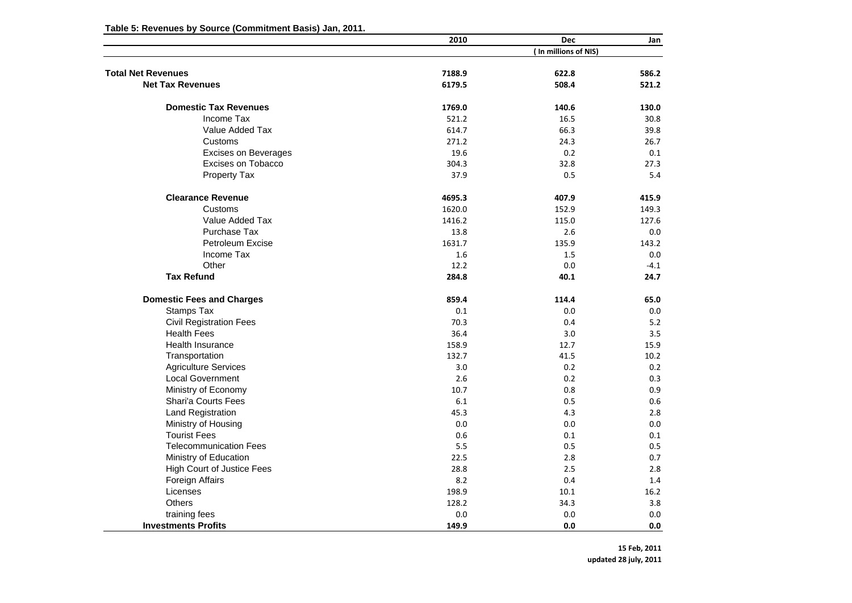|                                   | 2010   | <b>Dec</b>           | Jan    |
|-----------------------------------|--------|----------------------|--------|
|                                   |        | (In millions of NIS) |        |
| <b>Total Net Revenues</b>         | 7188.9 | 622.8                | 586.2  |
| <b>Net Tax Revenues</b>           | 6179.5 | 508.4                | 521.2  |
|                                   |        |                      |        |
| <b>Domestic Tax Revenues</b>      | 1769.0 | 140.6                | 130.0  |
| Income Tax                        | 521.2  | 16.5                 | 30.8   |
| Value Added Tax                   | 614.7  | 66.3                 | 39.8   |
| Customs                           | 271.2  | 24.3                 | 26.7   |
| <b>Excises on Beverages</b>       | 19.6   | 0.2                  | 0.1    |
| Excises on Tobacco                | 304.3  | 32.8                 | 27.3   |
| Property Tax                      | 37.9   | 0.5                  | 5.4    |
| <b>Clearance Revenue</b>          | 4695.3 | 407.9                | 415.9  |
| Customs                           | 1620.0 | 152.9                | 149.3  |
| Value Added Tax                   | 1416.2 | 115.0                | 127.6  |
| Purchase Tax                      | 13.8   | 2.6                  | 0.0    |
| Petroleum Excise                  | 1631.7 | 135.9                | 143.2  |
| Income Tax                        | 1.6    | 1.5                  | 0.0    |
| Other                             | 12.2   | 0.0                  | $-4.1$ |
| <b>Tax Refund</b>                 | 284.8  | 40.1                 | 24.7   |
| <b>Domestic Fees and Charges</b>  | 859.4  | 114.4                | 65.0   |
| Stamps Tax                        | 0.1    | 0.0                  | 0.0    |
| <b>Civil Registration Fees</b>    | 70.3   | 0.4                  | 5.2    |
| <b>Health Fees</b>                | 36.4   | 3.0                  | 3.5    |
| <b>Health Insurance</b>           | 158.9  | 12.7                 | 15.9   |
| Transportation                    | 132.7  | 41.5                 | 10.2   |
| <b>Agriculture Services</b>       | 3.0    | 0.2                  | 0.2    |
| <b>Local Government</b>           | 2.6    | 0.2                  | 0.3    |
| Ministry of Economy               | 10.7   | 0.8                  | 0.9    |
| <b>Shari'a Courts Fees</b>        | 6.1    | 0.5                  | 0.6    |
| <b>Land Registration</b>          | 45.3   | 4.3                  | 2.8    |
| Ministry of Housing               | 0.0    | 0.0                  | 0.0    |
| <b>Tourist Fees</b>               | 0.6    | 0.1                  | 0.1    |
| <b>Telecommunication Fees</b>     | 5.5    | 0.5                  | 0.5    |
| Ministry of Education             | 22.5   | 2.8                  | 0.7    |
| <b>High Court of Justice Fees</b> | 28.8   | 2.5                  | 2.8    |
| Foreign Affairs                   | 8.2    | 0.4                  | 1.4    |
| Licenses                          | 198.9  | 10.1                 | 16.2   |
| Others                            | 128.2  | 34.3                 | 3.8    |
| training fees                     | 0.0    | 0.0                  | 0.0    |
| <b>Investments Profits</b>        | 149.9  | 0.0                  | 0.0    |

**Table 5: Revenues by Source (Commitment Basis) Jan, 2011.**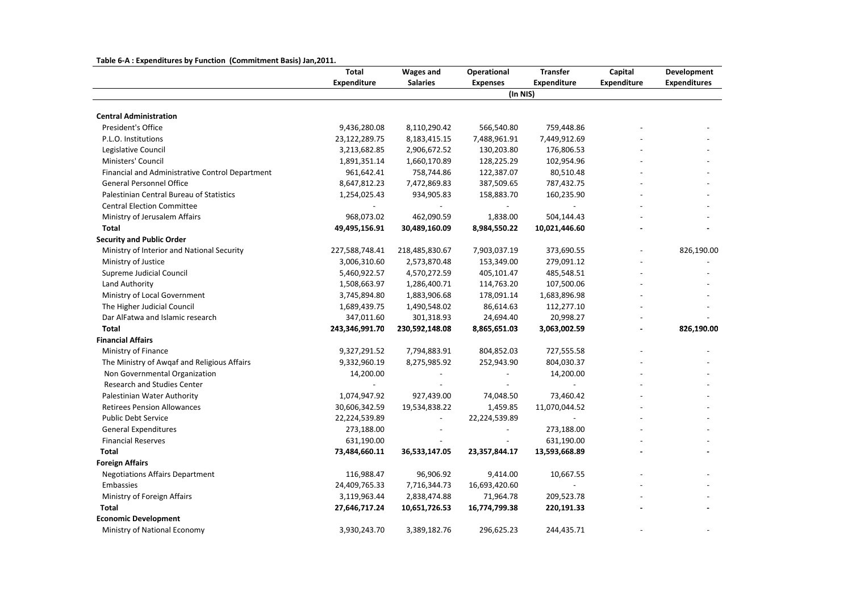## **Table 6‐A : Expenditures by Function (Commitment Basis) Jan,2011.**

|                                                 | Total          | <b>Wages and</b>         | Operational              | <b>Transfer</b>          | Capital            | Development         |
|-------------------------------------------------|----------------|--------------------------|--------------------------|--------------------------|--------------------|---------------------|
|                                                 | Expenditure    | <b>Salaries</b>          | <b>Expenses</b>          | <b>Expenditure</b>       | <b>Expenditure</b> | <b>Expenditures</b> |
|                                                 |                |                          | (In NIS)                 |                          |                    |                     |
|                                                 |                |                          |                          |                          |                    |                     |
| <b>Central Administration</b>                   |                |                          |                          |                          |                    |                     |
| President's Office                              | 9,436,280.08   | 8,110,290.42             | 566,540.80               | 759,448.86               |                    |                     |
| P.L.O. Institutions                             | 23,122,289.75  | 8,183,415.15             | 7,488,961.91             | 7,449,912.69             |                    |                     |
| Legislative Council                             | 3,213,682.85   | 2,906,672.52             | 130,203.80               | 176,806.53               |                    |                     |
| Ministers' Council                              | 1,891,351.14   | 1,660,170.89             | 128,225.29               | 102,954.96               |                    |                     |
| Financial and Administrative Control Department | 961,642.41     | 758,744.86               | 122,387.07               | 80,510.48                |                    |                     |
| <b>General Personnel Office</b>                 | 8,647,812.23   | 7,472,869.83             | 387,509.65               | 787,432.75               |                    |                     |
| Palestinian Central Bureau of Statistics        | 1,254,025.43   | 934,905.83               | 158,883.70               | 160,235.90               |                    |                     |
| <b>Central Election Committee</b>               |                |                          | $\frac{1}{2}$            | $\overline{\phantom{a}}$ |                    |                     |
| Ministry of Jerusalem Affairs                   | 968,073.02     | 462,090.59               | 1,838.00                 | 504,144.43               |                    |                     |
| Total                                           | 49,495,156.91  | 30,489,160.09            | 8,984,550.22             | 10,021,446.60            |                    |                     |
| <b>Security and Public Order</b>                |                |                          |                          |                          |                    |                     |
| Ministry of Interior and National Security      | 227,588,748.41 | 218,485,830.67           | 7,903,037.19             | 373,690.55               |                    | 826,190.00          |
| Ministry of Justice                             | 3,006,310.60   | 2,573,870.48             | 153,349.00               | 279,091.12               |                    |                     |
| Supreme Judicial Council                        | 5,460,922.57   | 4,570,272.59             | 405,101.47               | 485,548.51               |                    |                     |
| Land Authority                                  | 1,508,663.97   | 1,286,400.71             | 114,763.20               | 107,500.06               |                    |                     |
| Ministry of Local Government                    | 3,745,894.80   | 1,883,906.68             | 178,091.14               | 1,683,896.98             |                    |                     |
| The Higher Judicial Council                     | 1,689,439.75   | 1,490,548.02             | 86,614.63                | 112,277.10               |                    |                     |
| Dar AlFatwa and Islamic research                | 347,011.60     | 301,318.93               | 24,694.40                | 20,998.27                |                    |                     |
| Total                                           | 243,346,991.70 | 230,592,148.08           | 8,865,651.03             | 3,063,002.59             |                    | 826,190.00          |
| <b>Financial Affairs</b>                        |                |                          |                          |                          |                    |                     |
| Ministry of Finance                             | 9,327,291.52   | 7,794,883.91             | 804,852.03               | 727,555.58               |                    |                     |
| The Ministry of Awgaf and Religious Affairs     | 9,332,960.19   | 8,275,985.92             | 252,943.90               | 804,030.37               |                    |                     |
| Non Governmental Organization                   | 14,200.00      |                          | $\overline{\phantom{a}}$ | 14,200.00                |                    |                     |
| <b>Research and Studies Center</b>              |                |                          |                          |                          |                    |                     |
| Palestinian Water Authority                     | 1,074,947.92   | 927,439.00               | 74,048.50                | 73,460.42                |                    |                     |
| <b>Retirees Pension Allowances</b>              | 30,606,342.59  | 19,534,838.22            | 1,459.85                 | 11,070,044.52            |                    |                     |
| <b>Public Debt Service</b>                      | 22,224,539.89  | $\overline{\phantom{a}}$ | 22,224,539.89            |                          |                    |                     |
| <b>General Expenditures</b>                     | 273,188.00     |                          | $\overline{\phantom{a}}$ | 273,188.00               |                    |                     |
| <b>Financial Reserves</b>                       | 631,190.00     | $\overline{\phantom{a}}$ | $\overline{\phantom{a}}$ | 631,190.00               |                    |                     |
| Total                                           | 73,484,660.11  | 36,533,147.05            | 23,357,844.17            | 13,593,668.89            |                    |                     |
| <b>Foreign Affairs</b>                          |                |                          |                          |                          |                    |                     |
| <b>Negotiations Affairs Department</b>          | 116,988.47     | 96,906.92                | 9,414.00                 | 10,667.55                |                    |                     |
| Embassies                                       | 24,409,765.33  | 7,716,344.73             | 16,693,420.60            |                          |                    |                     |
| Ministry of Foreign Affairs                     | 3,119,963.44   | 2,838,474.88             | 71,964.78                | 209,523.78               |                    |                     |
| Total                                           | 27,646,717.24  | 10,651,726.53            | 16,774,799.38            | 220,191.33               |                    |                     |
| <b>Economic Development</b>                     |                |                          |                          |                          |                    |                     |
| Ministry of National Economy                    | 3,930,243.70   | 3,389,182.76             | 296,625.23               | 244,435.71               |                    |                     |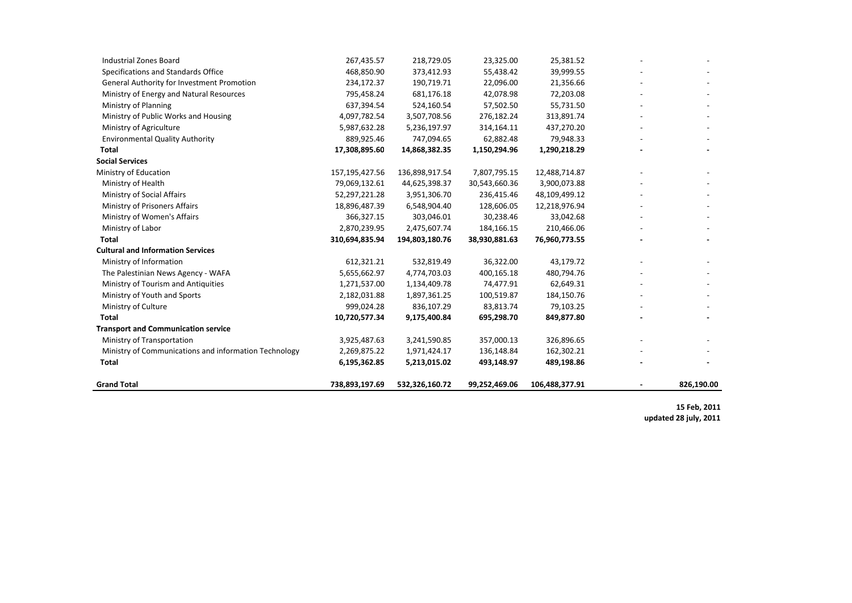| <b>Grand Total</b>                                                       | 738,893,197.69                 | 532,326,160.72 | 99,252,469.06           | 106,488,377.91          | 826,190.00 |
|--------------------------------------------------------------------------|--------------------------------|----------------|-------------------------|-------------------------|------------|
|                                                                          |                                |                |                         |                         |            |
| Total                                                                    | 6,195,362.85                   | 5,213,015.02   | 493,148.97              | 489,198.86              |            |
| Ministry of Communications and information Technology                    | 2,269,875.22                   | 1,971,424.17   | 136,148.84              | 162,302.21              |            |
| <b>Transport and Communication service</b><br>Ministry of Transportation | 3,925,487.63                   | 3,241,590.85   | 357,000.13              | 326,896.65              |            |
|                                                                          | 10,720,577.34                  | 9,175,400.84   | 695,298.70              | 849,877.80              |            |
| Total                                                                    |                                |                |                         |                         |            |
| Ministry of Youth and Sports<br>Ministry of Culture                      | 2,182,031.88<br>999,024.28     | 836,107.29     | 83,813.74               | 79,103.25               |            |
|                                                                          |                                | 1,897,361.25   | 100,519.87              | 184,150.76              |            |
| Ministry of Tourism and Antiquities                                      | 5,655,662.97<br>1,271,537.00   | 1,134,409.78   | 400,165.18<br>74,477.91 | 480,794.76<br>62,649.31 |            |
| Ministry of Information<br>The Palestinian News Agency - WAFA            |                                | 4,774,703.03   |                         |                         |            |
|                                                                          | 612,321.21                     | 532,819.49     | 36,322.00               | 43,179.72               |            |
| <b>Cultural and Information Services</b>                                 |                                | 194,803,180.76 | 38,930,881.63           | 76,960,773.55           |            |
| Ministry of Labor<br>Total                                               | 2,870,239.95<br>310,694,835.94 | 2,475,607.74   | 184,166.15              | 210,466.06              |            |
| Ministry of Women's Affairs                                              | 366,327.15                     | 303,046.01     | 30,238.46               | 33,042.68               |            |
| Ministry of Prisoners Affairs                                            | 18,896,487.39                  | 6,548,904.40   | 128,606.05              | 12,218,976.94           |            |
| Ministry of Social Affairs                                               | 52,297,221.28                  | 3,951,306.70   | 236,415.46              | 48,109,499.12           |            |
| Ministry of Health                                                       | 79,069,132.61                  | 44,625,398.37  | 30,543,660.36           | 3,900,073.88            |            |
| Ministry of Education                                                    | 157,195,427.56                 | 136,898,917.54 | 7,807,795.15            | 12,488,714.87           |            |
| <b>Social Services</b>                                                   |                                |                |                         |                         |            |
| Total                                                                    | 17,308,895.60                  | 14,868,382.35  | 1,150,294.96            | 1,290,218.29            |            |
| <b>Environmental Quality Authority</b>                                   | 889,925.46                     | 747,094.65     | 62,882.48               | 79,948.33               |            |
| Ministry of Agriculture                                                  | 5,987,632.28                   | 5,236,197.97   | 314,164.11              | 437,270.20              |            |
| Ministry of Public Works and Housing                                     | 4,097,782.54                   | 3,507,708.56   | 276,182.24              | 313,891.74              |            |
| Ministry of Planning                                                     | 637,394.54                     | 524,160.54     | 57,502.50               | 55,731.50               |            |
| Ministry of Energy and Natural Resources                                 | 795,458.24                     | 681,176.18     | 42,078.98               | 72,203.08               |            |
| General Authority for Investment Promotion                               | 234,172.37                     | 190,719.71     | 22,096.00               | 21,356.66               |            |
| Specifications and Standards Office                                      | 468,850.90                     | 373,412.93     | 55,438.42               | 39,999.55               |            |
| <b>Industrial Zones Board</b>                                            | 267,435.57                     | 218,729.05     | 23,325.00               | 25,381.52               |            |
|                                                                          |                                |                |                         |                         |            |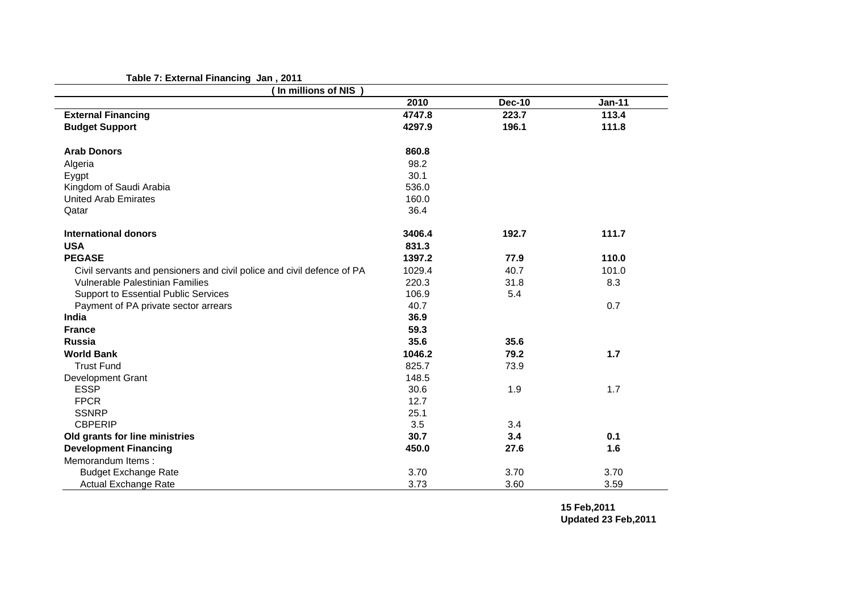## **Table 7: External Financing Jan , 2011**

| (In millions of NIS)                                                   |        |               |               |
|------------------------------------------------------------------------|--------|---------------|---------------|
|                                                                        | 2010   | <b>Dec-10</b> | <b>Jan-11</b> |
| <b>External Financing</b>                                              | 4747.8 | 223.7         | 113.4         |
| <b>Budget Support</b>                                                  | 4297.9 | 196.1         | 111.8         |
| <b>Arab Donors</b>                                                     | 860.8  |               |               |
| Algeria                                                                | 98.2   |               |               |
| Eygpt                                                                  | 30.1   |               |               |
| Kingdom of Saudi Arabia                                                | 536.0  |               |               |
| <b>United Arab Emirates</b>                                            | 160.0  |               |               |
| Qatar                                                                  | 36.4   |               |               |
| International donors                                                   | 3406.4 | 192.7         | 111.7         |
| <b>USA</b>                                                             | 831.3  |               |               |
| <b>PEGASE</b>                                                          | 1397.2 | 77.9          | 110.0         |
| Civil servants and pensioners and civil police and civil defence of PA | 1029.4 | 40.7          | 101.0         |
| Vulnerable Palestinian Families                                        | 220.3  | 31.8          | 8.3           |
| Support to Essential Public Services                                   | 106.9  | 5.4           |               |
| Payment of PA private sector arrears                                   | 40.7   |               | 0.7           |
| <b>India</b>                                                           | 36.9   |               |               |
| <b>France</b>                                                          | 59.3   |               |               |
| <b>Russia</b>                                                          | 35.6   | 35.6          |               |
| <b>World Bank</b>                                                      | 1046.2 | 79.2          | 1.7           |
| <b>Trust Fund</b>                                                      | 825.7  | 73.9          |               |
| <b>Development Grant</b>                                               | 148.5  |               |               |
| <b>ESSP</b>                                                            | 30.6   | 1.9           | 1.7           |
| <b>FPCR</b>                                                            | 12.7   |               |               |
| <b>SSNRP</b>                                                           | 25.1   |               |               |
| <b>CBPERIP</b>                                                         | 3.5    | 3.4           |               |
| Old grants for line ministries                                         | 30.7   | 3.4           | 0.1           |
| <b>Development Financing</b>                                           | 450.0  | 27.6          | 1.6           |
| Memorandum Items:                                                      |        |               |               |
| <b>Budget Exchange Rate</b>                                            | 3.70   | 3.70          | 3.70          |
| <b>Actual Exchange Rate</b>                                            | 3.73   | 3.60          | 3.59          |

**15 Feb,2011 Updated 23 Feb,2011**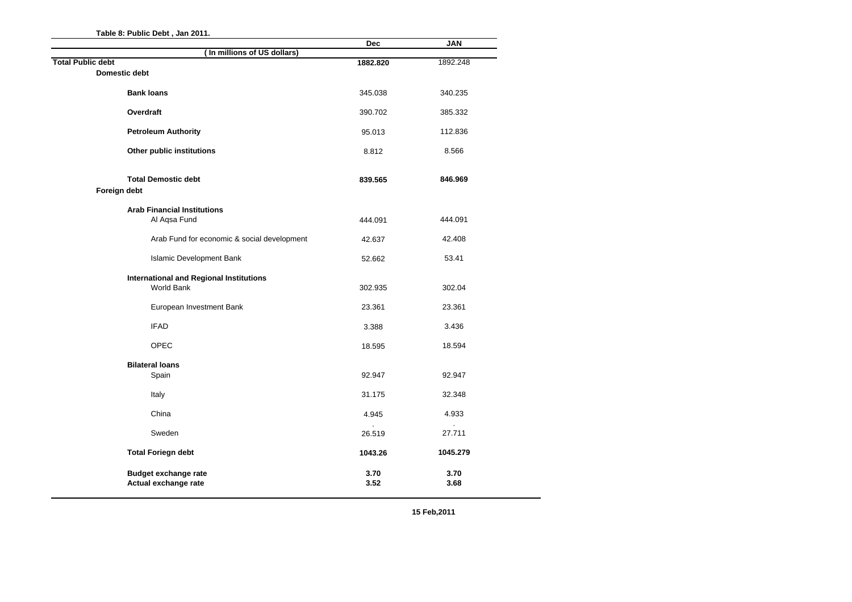|                                                  |                             | <b>Dec</b> | <b>JAN</b> |
|--------------------------------------------------|-----------------------------|------------|------------|
|                                                  | (In millions of US dollars) |            |            |
| <b>Total Public debt</b><br><b>Domestic debt</b> |                             | 1882.820   | 1892.248   |
|                                                  |                             |            |            |
| <b>Bank loans</b>                                |                             | 345.038    | 340.235    |
| Overdraft                                        |                             |            | 385.332    |
|                                                  |                             | 390.702    |            |
| <b>Petroleum Authority</b>                       |                             | 95.013     | 112.836    |
| Other public institutions                        |                             | 8.812      | 8.566      |
|                                                  |                             |            |            |
| <b>Total Demostic debt</b>                       |                             |            | 846.969    |
| Foreign debt                                     |                             | 839.565    |            |
|                                                  |                             |            |            |
| <b>Arab Financial Institutions</b>               |                             |            |            |
| Al Aqsa Fund                                     |                             | 444.091    | 444.091    |
| Arab Fund for economic & social development      |                             | 42.637     | 42.408     |
| Islamic Development Bank                         |                             | 52.662     | 53.41      |
|                                                  |                             |            |            |
| <b>International and Regional Institutions</b>   |                             |            |            |
| World Bank                                       |                             | 302.935    | 302.04     |
| European Investment Bank                         |                             | 23.361     | 23.361     |
| <b>IFAD</b>                                      |                             |            |            |
|                                                  |                             | 3.388      | 3.436      |
| <b>OPEC</b>                                      |                             | 18.595     | 18.594     |
| <b>Bilateral loans</b>                           |                             |            |            |
| Spain                                            |                             | 92.947     | 92.947     |
|                                                  |                             |            |            |
| Italy                                            |                             | 31.175     | 32.348     |
| China                                            |                             | 4.945      | 4.933      |
| Sweden                                           |                             |            |            |
|                                                  |                             | 26.519     | 27.711     |
| <b>Total Foriegn debt</b>                        |                             | 1043.26    | 1045.279   |
| <b>Budget exchange rate</b>                      |                             | 3.70       | 3.70       |
| Actual exchange rate                             |                             | 3.52       | 3.68       |

**15 Feb,2011**